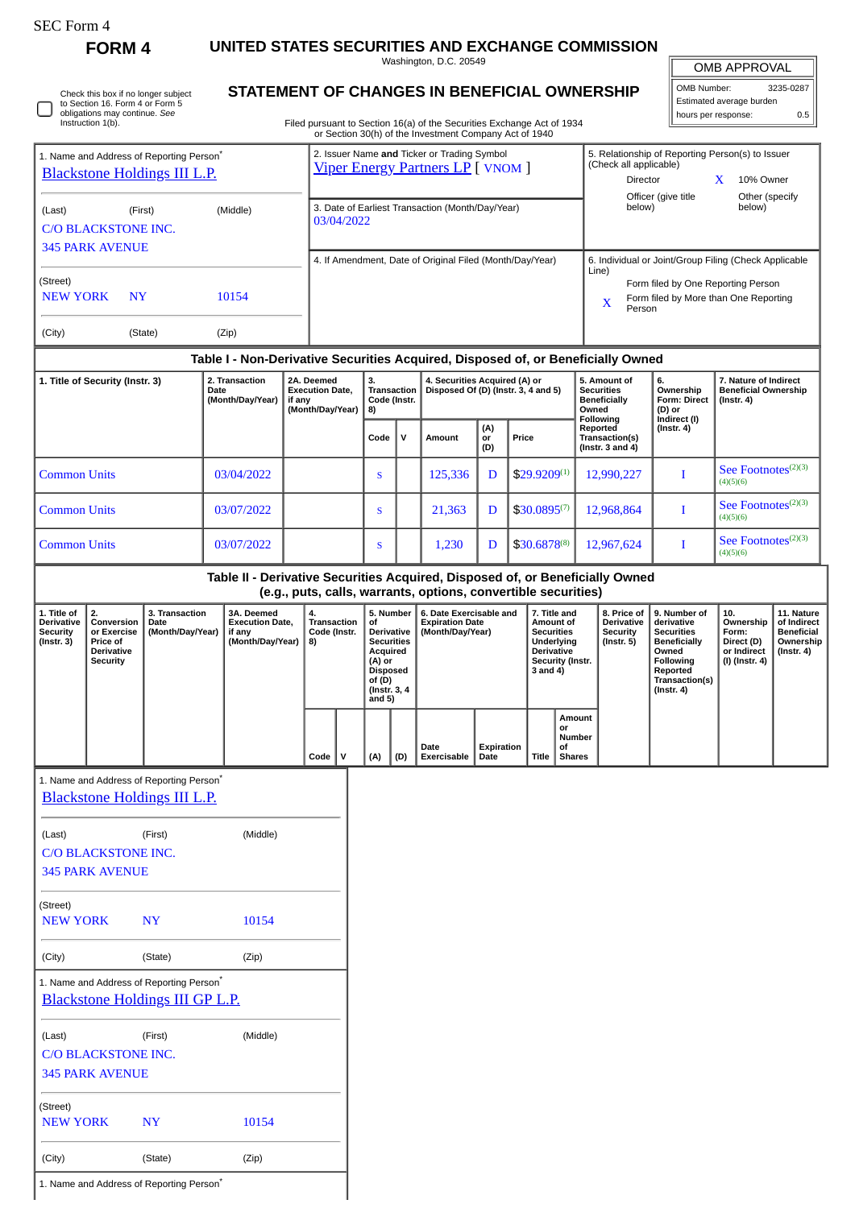|  | SEC Form |  |
|--|----------|--|
|--|----------|--|

**FORM 4 UNITED STATES SECURITIES AND EXCHANGE COMMISSION**

Washington, D.C. 20549

|                                                                                             |                                                                                                         |                                                                                                |                                                                    |            |                                                                                                                                                                                                                     |            |                                                                      |                                                                                                                                  |     | Washington, D.C. 20549                                                                                                                          |                                                                |                                                      |                                                                                                                                                                                  |                                                                          |                                                                  |                                                                                                                                                | OMB APPROVAL                                                             |                                                                                 |
|---------------------------------------------------------------------------------------------|---------------------------------------------------------------------------------------------------------|------------------------------------------------------------------------------------------------|--------------------------------------------------------------------|------------|---------------------------------------------------------------------------------------------------------------------------------------------------------------------------------------------------------------------|------------|----------------------------------------------------------------------|----------------------------------------------------------------------------------------------------------------------------------|-----|-------------------------------------------------------------------------------------------------------------------------------------------------|----------------------------------------------------------------|------------------------------------------------------|----------------------------------------------------------------------------------------------------------------------------------------------------------------------------------|--------------------------------------------------------------------------|------------------------------------------------------------------|------------------------------------------------------------------------------------------------------------------------------------------------|--------------------------------------------------------------------------|---------------------------------------------------------------------------------|
|                                                                                             | Check this box if no longer subject<br>to Section 16. Form 4 or Form 5<br>obligations may continue. See |                                                                                                |                                                                    |            |                                                                                                                                                                                                                     |            |                                                                      |                                                                                                                                  |     | STATEMENT OF CHANGES IN BENEFICIAL OWNERSHIP                                                                                                    |                                                                |                                                      |                                                                                                                                                                                  |                                                                          |                                                                  | OMB Number:                                                                                                                                    | Estimated average burden                                                 | 3235-0287                                                                       |
|                                                                                             | Instruction 1(b).                                                                                       |                                                                                                |                                                                    |            |                                                                                                                                                                                                                     |            |                                                                      |                                                                                                                                  |     | Filed pursuant to Section 16(a) of the Securities Exchange Act of 1934                                                                          |                                                                |                                                      |                                                                                                                                                                                  |                                                                          |                                                                  |                                                                                                                                                | hours per response:                                                      | 0.5                                                                             |
| 1. Name and Address of Reporting Person <sup>®</sup><br><b>Blackstone Holdings III L.P.</b> |                                                                                                         |                                                                                                |                                                                    |            | or Section 30(h) of the Investment Company Act of 1940<br>2. Issuer Name and Ticker or Trading Symbol<br><b>Viper Energy Partners LP</b> [ VNOM ]<br>3. Date of Earliest Transaction (Month/Day/Year)<br>03/04/2022 |            |                                                                      |                                                                                                                                  |     |                                                                                                                                                 |                                                                |                                                      | 5. Relationship of Reporting Person(s) to Issuer<br>(Check all applicable)<br>Director<br>10% Owner<br>$\mathbf{X}$<br>Officer (give title<br>Other (specify<br>below)<br>below) |                                                                          |                                                                  |                                                                                                                                                |                                                                          |                                                                                 |
| (First)<br>(Middle)<br>(Last)<br><b>C/O BLACKSTONE INC.</b><br><b>345 PARK AVENUE</b>       |                                                                                                         |                                                                                                |                                                                    |            |                                                                                                                                                                                                                     |            |                                                                      |                                                                                                                                  |     |                                                                                                                                                 |                                                                |                                                      |                                                                                                                                                                                  |                                                                          |                                                                  |                                                                                                                                                |                                                                          |                                                                                 |
| (Street)                                                                                    |                                                                                                         |                                                                                                |                                                                    |            |                                                                                                                                                                                                                     |            |                                                                      |                                                                                                                                  |     | 4. If Amendment, Date of Original Filed (Month/Day/Year)                                                                                        |                                                                |                                                      |                                                                                                                                                                                  |                                                                          | Line)                                                            | 6. Individual or Joint/Group Filing (Check Applicable<br>Form filed by One Reporting Person                                                    |                                                                          |                                                                                 |
| <b>NEW YORK</b><br><b>NY</b><br>10154                                                       |                                                                                                         |                                                                                                |                                                                    |            |                                                                                                                                                                                                                     |            |                                                                      |                                                                                                                                  |     |                                                                                                                                                 |                                                                | Form filed by More than One Reporting<br>X<br>Person |                                                                                                                                                                                  |                                                                          |                                                                  |                                                                                                                                                |                                                                          |                                                                                 |
| (City)                                                                                      |                                                                                                         | (State)                                                                                        |                                                                    | (Zip)      |                                                                                                                                                                                                                     |            |                                                                      |                                                                                                                                  |     |                                                                                                                                                 |                                                                |                                                      |                                                                                                                                                                                  |                                                                          |                                                                  |                                                                                                                                                |                                                                          |                                                                                 |
|                                                                                             |                                                                                                         |                                                                                                |                                                                    |            |                                                                                                                                                                                                                     | 2A. Deemed |                                                                      | 3.                                                                                                                               |     | Table I - Non-Derivative Securities Acquired, Disposed of, or Beneficially Owned                                                                |                                                                |                                                      |                                                                                                                                                                                  |                                                                          | 5. Amount of                                                     | 6.                                                                                                                                             |                                                                          |                                                                                 |
| 2. Transaction<br>1. Title of Security (Instr. 3)<br>Date<br>(Month/Day/Year)               |                                                                                                         | if any                                                                                         | <b>Execution Date,</b><br>(Month/Day/Year)                         |            | Transaction<br>Code (Instr.<br>8)                                                                                                                                                                                   |            | 4. Securities Acquired (A) or<br>Disposed Of (D) (Instr. 3, 4 and 5) |                                                                                                                                  |     |                                                                                                                                                 | <b>Securities</b><br><b>Beneficially</b><br>Owned<br>Following |                                                      | Ownership<br>Form: Direct<br>(D) or<br>Indirect (I)                                                                                                                              | 7. Nature of Indirect<br><b>Beneficial Ownership</b><br>$($ Instr. 4 $)$ |                                                                  |                                                                                                                                                |                                                                          |                                                                                 |
|                                                                                             |                                                                                                         |                                                                                                |                                                                    |            |                                                                                                                                                                                                                     |            |                                                                      | Code                                                                                                                             | v   | Amount                                                                                                                                          | (A)<br>or<br>(D)                                               | Price                                                |                                                                                                                                                                                  |                                                                          | Reported<br>Transaction(s)<br>(Instr. $3$ and $4$ )              | $($ Instr. 4 $)$                                                                                                                               |                                                                          |                                                                                 |
| <b>Common Units</b>                                                                         |                                                                                                         |                                                                                                |                                                                    | 03/04/2022 |                                                                                                                                                                                                                     |            |                                                                      | S                                                                                                                                |     | 125,336                                                                                                                                         | D                                                              |                                                      | $$29.9209^{(1)}$                                                                                                                                                                 | 12,990,227                                                               |                                                                  | I                                                                                                                                              | See Footnotes <sup>(2)(3)</sup><br>(4)(5)(6)                             |                                                                                 |
| <b>Common Units</b>                                                                         |                                                                                                         | 03/07/2022                                                                                     |                                                                    |            | S                                                                                                                                                                                                                   |            | 21,363                                                               | D                                                                                                                                |     | $$30.0895^{(7)}$                                                                                                                                | 12,968,864                                                     |                                                      | I                                                                                                                                                                                | See Footnotes <sup>(2)(3)</sup><br>(4)(5)(6)                             |                                                                  |                                                                                                                                                |                                                                          |                                                                                 |
| <b>Common Units</b>                                                                         |                                                                                                         |                                                                                                |                                                                    | 03/07/2022 |                                                                                                                                                                                                                     |            |                                                                      | S                                                                                                                                |     | 1,230                                                                                                                                           | D                                                              |                                                      | \$30.6878(8)                                                                                                                                                                     | 12,967,624                                                               |                                                                  | 1                                                                                                                                              | See Footnotes <sup>(2)(3)</sup><br>(4)(5)(6)                             |                                                                                 |
|                                                                                             |                                                                                                         |                                                                                                |                                                                    |            |                                                                                                                                                                                                                     |            |                                                                      |                                                                                                                                  |     | Table II - Derivative Securities Acquired, Disposed of, or Beneficially Owned<br>(e.g., puts, calls, warrants, options, convertible securities) |                                                                |                                                      |                                                                                                                                                                                  |                                                                          |                                                                  |                                                                                                                                                |                                                                          |                                                                                 |
| 1. Title of<br><b>Derivative</b><br><b>Security</b><br>(Instr. 3)                           | 2.<br>Conversion<br>or Exercise<br>Price of<br>Derivative<br><b>Security</b>                            | 3. Transaction<br>Date<br>(Month/Day/Year)                                                     | 3A. Deemed<br><b>Execution Date,</b><br>if any<br>(Month/Day/Year) |            | 4.<br><b>Transaction</b><br>Code (Instr.<br>8)                                                                                                                                                                      |            |                                                                      | 5. Number<br>of<br>Derivative<br><b>Securities</b><br>Acquired<br>(A) or<br><b>Disposed</b><br>of (D)<br>(Instr. 3, 4)<br>and 5) |     | 6. Date Exercisable and<br><b>Expiration Date</b><br>(Month/Day/Year)                                                                           |                                                                |                                                      | 7. Title and<br>Amount of<br><b>Securities</b><br>Underlying<br><b>Derivative</b><br>Security (Instr.<br>3 and 4)                                                                |                                                                          | 8. Price of<br>Derivative<br><b>Security</b><br>$($ Instr. 5 $)$ | 9. Number of<br>derivative<br><b>Securities</b><br><b>Beneficially</b><br>Owned<br>Following<br>Reported<br>Transaction(s)<br>$($ Instr. 4 $)$ | 10.<br>Ownership<br>Form:<br>Direct (D)<br>or Indirect<br>(I) (Instr. 4) | 11. Nature<br>of Indirect<br><b>Beneficial</b><br>Ownership<br>$($ Instr. 4 $)$ |
|                                                                                             |                                                                                                         |                                                                                                |                                                                    |            |                                                                                                                                                                                                                     | Code $ V $ |                                                                      | (A)                                                                                                                              | (D) | Date<br>Exercisable                                                                                                                             | Expiration<br>Date                                             |                                                      | or<br>of<br>Title                                                                                                                                                                | Amount<br><b>Number</b><br><b>Shares</b>                                 |                                                                  |                                                                                                                                                |                                                                          |                                                                                 |
|                                                                                             |                                                                                                         | 1. Name and Address of Reporting Person*<br><b>Blackstone Holdings III L.P.</b>                |                                                                    |            |                                                                                                                                                                                                                     |            |                                                                      |                                                                                                                                  |     |                                                                                                                                                 |                                                                |                                                      |                                                                                                                                                                                  |                                                                          |                                                                  |                                                                                                                                                |                                                                          |                                                                                 |
|                                                                                             |                                                                                                         |                                                                                                |                                                                    |            |                                                                                                                                                                                                                     |            |                                                                      |                                                                                                                                  |     |                                                                                                                                                 |                                                                |                                                      |                                                                                                                                                                                  |                                                                          |                                                                  |                                                                                                                                                |                                                                          |                                                                                 |
| (Last)                                                                                      | <b>C/O BLACKSTONE INC.</b><br><b>345 PARK AVENUE</b>                                                    | (First)                                                                                        |                                                                    | (Middle)   |                                                                                                                                                                                                                     |            |                                                                      |                                                                                                                                  |     |                                                                                                                                                 |                                                                |                                                      |                                                                                                                                                                                  |                                                                          |                                                                  |                                                                                                                                                |                                                                          |                                                                                 |
| (Street)<br><b>NEW YORK</b>                                                                 |                                                                                                         | <b>NY</b>                                                                                      |                                                                    | 10154      |                                                                                                                                                                                                                     |            |                                                                      |                                                                                                                                  |     |                                                                                                                                                 |                                                                |                                                      |                                                                                                                                                                                  |                                                                          |                                                                  |                                                                                                                                                |                                                                          |                                                                                 |
| (City)                                                                                      |                                                                                                         | (State)                                                                                        |                                                                    | (Zip)      |                                                                                                                                                                                                                     |            |                                                                      |                                                                                                                                  |     |                                                                                                                                                 |                                                                |                                                      |                                                                                                                                                                                  |                                                                          |                                                                  |                                                                                                                                                |                                                                          |                                                                                 |
|                                                                                             |                                                                                                         | 1. Name and Address of Reporting Person <sup>*</sup><br><b>Blackstone Holdings III GP L.P.</b> |                                                                    |            |                                                                                                                                                                                                                     |            |                                                                      |                                                                                                                                  |     |                                                                                                                                                 |                                                                |                                                      |                                                                                                                                                                                  |                                                                          |                                                                  |                                                                                                                                                |                                                                          |                                                                                 |
| (Last)                                                                                      | <b>C/O BLACKSTONE INC.</b><br><b>345 PARK AVENUE</b>                                                    | (First)                                                                                        |                                                                    | (Middle)   |                                                                                                                                                                                                                     |            |                                                                      |                                                                                                                                  |     |                                                                                                                                                 |                                                                |                                                      |                                                                                                                                                                                  |                                                                          |                                                                  |                                                                                                                                                |                                                                          |                                                                                 |
| (Street)<br><b>NEW YORK</b>                                                                 |                                                                                                         | <b>NY</b>                                                                                      |                                                                    | 10154      |                                                                                                                                                                                                                     |            |                                                                      |                                                                                                                                  |     |                                                                                                                                                 |                                                                |                                                      |                                                                                                                                                                                  |                                                                          |                                                                  |                                                                                                                                                |                                                                          |                                                                                 |
| (City)                                                                                      |                                                                                                         | (State)                                                                                        |                                                                    | (Zip)      |                                                                                                                                                                                                                     |            |                                                                      |                                                                                                                                  |     |                                                                                                                                                 |                                                                |                                                      |                                                                                                                                                                                  |                                                                          |                                                                  |                                                                                                                                                |                                                                          |                                                                                 |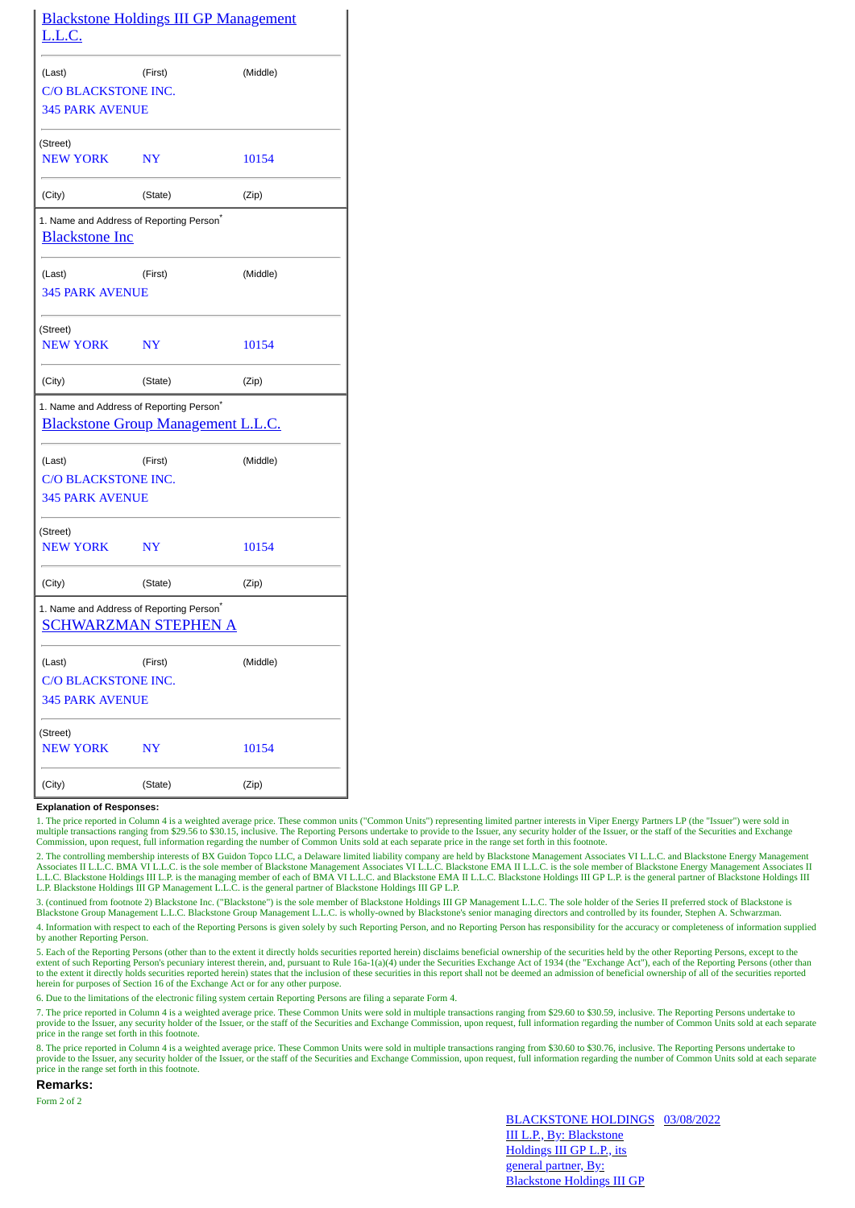| <u>L.L.C.</u>                                 | <b>Blackstone Holdings III GP Management</b>                                                      |          |
|-----------------------------------------------|---------------------------------------------------------------------------------------------------|----------|
| (Last)                                        | (First)                                                                                           | (Middle) |
| C/O BLACKSTONE INC.<br><b>345 PARK AVENUE</b> |                                                                                                   |          |
| (Street)<br><b>NEW YORK</b>                   | NY                                                                                                | 10154    |
| (City)                                        | (State)                                                                                           | (Zip)    |
| <b>Blackstone Inc</b>                         | 1. Name and Address of Reporting Person <sup>*</sup>                                              |          |
| (Last)                                        | (First)                                                                                           | (Middle) |
| <b>345 PARK AVENUE</b>                        |                                                                                                   |          |
| (Street)                                      |                                                                                                   |          |
| <b>NEW YORK</b>                               | $N\mathbf{Y}$                                                                                     | 10154    |
| (City)                                        | (State)                                                                                           | (Zip)    |
|                                               | 1. Name and Address of Reporting Person <sup>*</sup><br><b>Blackstone Group Management L.L.C.</b> |          |
| (Last)                                        | (First)                                                                                           | (Middle) |
| C/O BLACKSTONE INC.                           |                                                                                                   |          |
| <b>345 PARK AVENUE</b>                        |                                                                                                   |          |
| (Street)<br><b>NEW YORK</b>                   | NY                                                                                                | 10154    |
| (City)                                        | (State)                                                                                           | (Zip)    |
|                                               | 1. Name and Address of Reporting Person <sup>*</sup><br>SCHWARZMAN STEPHEN A                      |          |
| (Last)                                        | (First)                                                                                           | (Middle) |
| C/O BLACKSTONE INC.                           |                                                                                                   |          |
| <b>345 PARK AVENUE</b>                        |                                                                                                   |          |
| (Street)<br>NEW YORK                          | NY                                                                                                | 10154    |
| (City)                                        | (State)                                                                                           | (Zip)    |

## **Explanation of Responses:**

1. The price reported in Column 4 is a weighted average price. These common units ("Common Units") representing limited partner interests in Viper Energy Partners LP (the "Issuer") were sold in multiple transactions ranging from \$29.56 to \$30.15, inclusive. The Reporting Persons undertake to provide to the Issuer, any security holder of the Issuer, or the staff of the Securities and Exchange<br>Commission, upon requ

2. The controlling membership interests of BX Guidon Topco LLC, a Delaware limited liability company are held by Blackstone Management Associates VI L.L.C. and Blackstone Energy Management<br>Associates II L.L.C. BMA VI L.L.C L.L.C. Blackstone Holdings III L.P. is the managing member of each of BMA VI L.L.C. and Blackstone EMA II L.L.C. Blackstone Holdings III GP L.P. is the general partner of Blackstone Holdings III L.P. Blackstone Holdings III GP Management L.L.C. is the general partner of Blackstone Holdings III GP L.P.

3. (continued from footnote 2) Blackstone Inc. ("Blackstone") is the sole member of Blackstone Holdings III GP Management L.L.C. The sole holder of the Series II preferred stock of Blackstone is Blackstone Group Management L.L.C. Blackstone Group Management L.L.C. is wholly-owned by Blackstone's senior managing directors and controlled by its founder, Stephen A. Schwarzman. 4. Information with respect to each of the Reporting Persons is given solely by such Reporting Person, and no Reporting Person has responsibility for the accuracy or completeness of information supplied by another Reporting Person.

5. Each of the Reporting Persons (other than to the extent it directly holds securities reported herein) disclaims beneficial ownership of the securities held by the other Reporting Persons, except to the extent of such Reporting Person's pecuniary interest therein, and, pursuant to Rule 16a-1(a)(4) under the Securities Exchange Act of 1934 (the "Exchange Act"), each of the Reporting Persons (other than the Reporting Person to the extent it directly holds securities reported herein) states that the inclusion of these securities in this report shall not be deemed an admission of beneficial ownership of all of the securities reported herein for purposes of Section 16 of the Exchange Act or for any other purpose.

6. Due to the limitations of the electronic filing system certain Reporting Persons are filing a separate Form 4.

7. The price reported in Column 4 is a weighted average price. These Common Units were sold in multiple transactions ranging from \$29.60 to \$30.59, inclusive. The Reporting Persons undertake to provide to the Issuer, any security holder of the Issuer, or the staff of the Securities and Exchange Commission, upon request, full information regarding the number of Common Units sold at each separate price in the range set forth in this footnote.

8. The price reported in Column 4 is a weighted average price. These Common Units were sold in multiple transactions ranging from \$30.60 to \$30.76, inclusive. The Reporting Persons undertake to provide to the Issuer, any security holder of the Issuer, or the staff of the Securities and Exchange Commission, upon request, full information regarding the number of Common Units sold at each separate price in the range set forth in this footnote.

## **Remarks:**

Form 2 of 2

BLACKSTONE HOLDINGS 03/08/2022III L.P., By: Blackstone Holdings III GP L.P., its general partner, By: Blackstone Holdings III GP